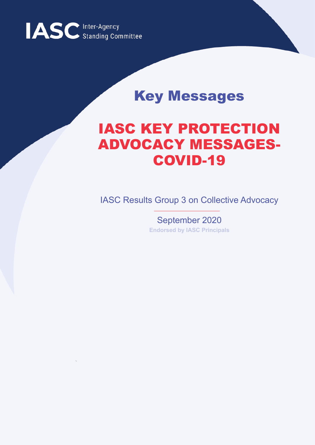

## Key Messages

# IASC KEY PROTECTION ADVOCACY MESSAGES-COVID-19

IASC Results Group 3 on Collective Advocacy

September 2020 **Endorsed by IASC Principals**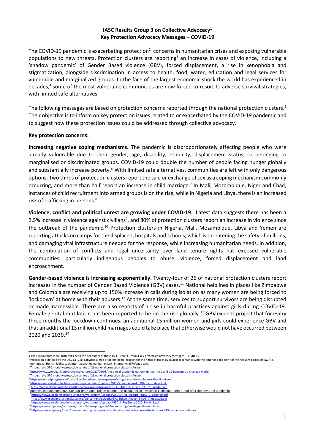#### **IASC Results Group 3 on Collective Advocacy<sup>1</sup> Key Protection Advocacy Messages – COVID-19**

The COVID-19 pandemic is exacerbating protection<sup>2</sup> concerns in humanitarian crises and exposing vulnerable populations to new threats**.** Protection clusters are reporting<sup>3</sup> an increase in cases of violence, including a 'shadow pandemic' of Gender Based violence (GBV), forced displacement, a rise in xenophobia and stigmatization, alongside discrimination in access to health, food, water, education and legal services for vulnerable and marginalized groups. In the face of the largest economic shock the world has experienced in decades,<sup>4</sup> some of the most vulnerable communities are now forced to resort to adverse survival strategies, with limited safe alternatives.

The following messages are based on protection concerns reported through the national protection clusters.<sup>5</sup> Their objective is to inform on key protection issues related to or exacerbated by the COVID-19 pandemic and to suggest how these protection issues could be addressed through collective advocacy.

#### **Key protection concerns:**

**Increasing negative coping mechanisms.** The pandemic is disproportionately affecting people who were already vulnerable due to their gender, age, disability, ethnicity, displacement status, or belonging to marginalised or discriminated groups. COVID-19 could double the number of people facing hunger globally and substantially increase poverty.<sup>6</sup> With limited safe alternatives, communities are left with only dangerous options. Two thirds of protection clusters report the sale or exchange of sex as a coping mechanism commonly occurring, and more than half report an increase in child marriage. 7 In Mali, Mozambique, Niger and Chad, instances of child recruitment into armed groups is on the rise, while in Nigeria and Libya, there is an increased risk of trafficking in persons. 8

**Violence, conflict and political unrest are growing under COVID-19**. Latest data suggests there has been a 2.5% increase in violence against civilians<sup>9</sup>, and 80% of protection clusters report an increase in violence since the outbreak of the pandemic.<sup>10</sup> Protection clusters in Nigeria, Mali, Mozambique, Libya and Yemen are reporting attacks on camps for the displaced, hospitals and schools, which is threatening the safety of millions, and damaging vital infrastructure needed for the response, while increasing humanitarian needs. In addition, the combination of conflicts and legal uncertainty over land tenure rights has exposed vulnerable communities, particularly indigenous peoples to abuse, violence, forced displacement and land encroachment.

**Gender-based violence is increasing exponentially.** Twenty-four of 26 of national protection clusters report increases in the number of Gender Based Violence (GBV) cases.<sup>11</sup> National helplines in places like Zimbabwe and Colombia are receiving up to 150% increase in calls during isolation as many women are being forced to 'lockdown' at home with their abusers.<sup>12</sup> At the same time, services to support survivors are being disrupted or made inaccessible. There are also reports of a rise in harmful practices against girls during COVID-19. Female genital mutilation has been reported to be on the rise globally.<sup>13</sup> GBV experts project that for every three months the lockdown continues, an additional 15 million women and girls could experience GBV and that an additional 13 million child marriages could take place that otherwise would not have occurred between 2020 and 2030. 14

<sup>1</sup> The Global Protection Cluster has been the penholder of these IASC Results Group 3 key protection advocacy messages– COVID-19.

<sup>&</sup>lt;sup>2</sup> Protection is defined by the IASC as '... all activities aimed at obtaining full respect for the rights of the individual in accordance with the letter and the spirit of the relevant bodies of law (i.e.

International Human Rights Law, International Humanitarian Law, International Refugee Law.' <sup>3</sup> Through the GPC monthly protection survey of 26 national protection clusters (August)

<sup>4</sup> [https://www.worldbank.org/en/news/feature/2020/06/08/the-global-economic-outlook-during-the-Covid-19-pandemic-a-changed-world](https://www.worldbank.org/en/news/feature/2020/06/08/the-global-economic-outlook-during-the-covid-19-pandemic-a-changed-world)

<sup>&</sup>lt;sup>5</sup> Through the GPC monthly protection survey of 26 national protection clusters (August)

https: /www.wfp.org/news/Covid-19-will-double-number-people-facing-food-crises-unless-swift-action-taken 7 https://www.globalprotectioncluster.org/wp-content/uploads/GPC-SitRep\_August\_FINAL\_7\_updated.pdf

<sup>8</sup> https://www.globalprotectioncluster.org/wp-content/uploads/GP

<sup>9</sup> <https://acleddata.com/2020/08/04/a-great-and-sudden-change-the-global-political-violence-landscape-before-and-after-the-covid-19-pandemic/>

https://www.globalprotectioncluster.org/wp-content/uploads/GPC-SitRep\_August\_FINAL\_7\_updated.pdf <sup>1</sup>https://www.globalprotectioncluster.org/wp-content/uploads/GPC-SitRep\_August\_FINAL\_7\_updated.pdf

<sup>12</sup> [https://www.globalprotectioncluster.org/wp-content/uploads/GPC-SitRep6June-2020\\_FINAL-3.pdf](https://www.globalprotectioncluster.org/wp-content/uploads/GPC-SitRep6June-2020_FINAL-3.pdf)

<sup>13</sup> <https://www.unfpa.org/resources/covid-19-disrupting-sdg-53-eliminating-female-genital-mutilation>

<sup>&</sup>lt;sup>14</sup> [https://www.unfpa.org/press/new-unfpa-projections-predict-calamitous-impact-womens-health-Covid-19-pandemic-continues](https://www.unfpa.org/press/new-unfpa-projections-predict-calamitous-impact-womens-health-covid-19-pandemic-continues)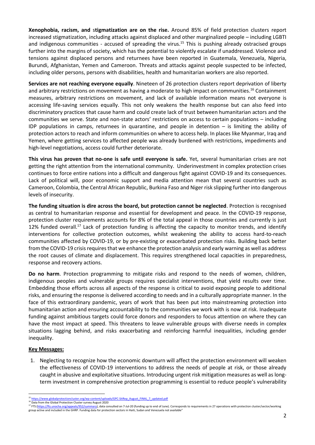**Xenophobia, racism, and** s**tigmatization are on the rise.** Around 85% of field protection clusters report increased stigmatization, including attacks against displaced and other marginalized people – including LGBTI and indigenous communities - accused of spreading the virus.<sup>15</sup> This is pushing already ostracised groups further into the margins of society, which has the potential to violently escalate if unaddressed. Violence and tensions against displaced persons and returnees have been reported in Guatemala, Venezuela, Nigeria, Burundi, Afghanistan, Yemen and Cameroon. Threats and attacks against people suspected to be infected, including older persons, persons with disabilities, health and humanitarian workers are also reported.

**Services are not reaching everyone equally**. Nineteen of 26 protection clusters report deprivation of liberty and arbitrary restrictions on movement as having a moderate to high impact on communities. <sup>16</sup> Containment measures, arbitrary restrictions on movement, and lack of available information means not everyone is accessing life-saving services equally. This not only weakens the health response but can also feed into discriminatory practices that cause harm and could create lack of trust between humanitarian actors and the communities we serve. State and non-state actors' restrictions on access to certain populations – including IDP populations in camps, returnees in quarantine, and people in detention – is limiting the ability of protection actors to reach and inform communities on where to access help. In places like Myanmar, Iraq and Yemen, where getting services to affected people was already burdened with restrictions, impediments and high-level negotiations, access could further deteriorate.

**This virus has proven that no-one is safe until everyone is safe.** Yet, several humanitarian crises are not getting the right attention from the international community. Underinvestment in complex protection crises continues to force entire nations into a difficult and dangerous fight against COVID-19 and its consequences. Lack of political will, poor economic support and media attention mean that several countries such as Cameroon, Colombia, the Central African Republic, Burkina Faso and Niger risk slipping further into dangerous levels of insecurity.

**The funding situation is dire across the board, but protection cannot be neglected**. Protection is recognised as central to humanitarian response and essential for development and peace. In the COVID-19 response, protection cluster requirements accounts for 8% of the total appeal in those countries and currently is just 12% funded overall.<sup>17</sup> Lack of protection funding is affecting the capacity to monitor trends, and identify interventions for collective protection outcomes, whilst weakening the ability to access hard-to-reach communities affected by COVID-19, or by pre-existing or exacerbated protection risks. Building back better from the COVID-19 crisis requires that we enhance the protection analysis and early warning as well as address the root causes of climate and displacement. This requires strengthened local capacities in preparedness, response and recovery actions.

**Do no harm**. Protection programming to mitigate risks and respond to the needs of women, children, indigenous peoples and vulnerable groups requires specialist interventions, that yield results over time. Embedding those efforts across all aspects of the response is critical to avoid exposing people to additional risks, and ensuring the response is delivered according to needs and in a culturally appropriate manner. In the face of this extraordinary pandemic, years of work that has been put into mainstreaming protection into humanitarian action and ensuring accountability to the communities we work with is now at risk. Inadequate funding against ambitious targets could force donors and responders to focus attention on where they can have the most impact at speed. This threatens to leave vulnerable groups with diverse needs in complex situations lagging behind, and risks exacerbating and reinforcing harmful inequalities, including gender inequality.

### **Key Messages:**

1. Neglecting to recognize how the economic downturn will affect the protection environment will weaken the effectiveness of COVID-19 interventions to address the needs of people at risk, or those already caught in abusive and exploitative situations. Introducing urgent risk mitigation measures as well as longterm investment in comprehensive protection programming is essential to reduce people's vulnerability

<sup>&</sup>lt;sup>15</sup> https://www.globalprotectioncluster.org/wp-content/uploads/GPC-SitRep\_August\_FINAL\_7\_updated.pdf<br><sup>16</sup> Data from the Global Protection Cluster survey August 2020

eals/952/summary), data consulted on 7-Jul-20 (funding up to end of June). Corresponds to requirements in 27 operations with protection cluster/sector/working group active and included in the GHRP. Funding data for protection sectors in Haiti, Sudan and Venezuela not available"